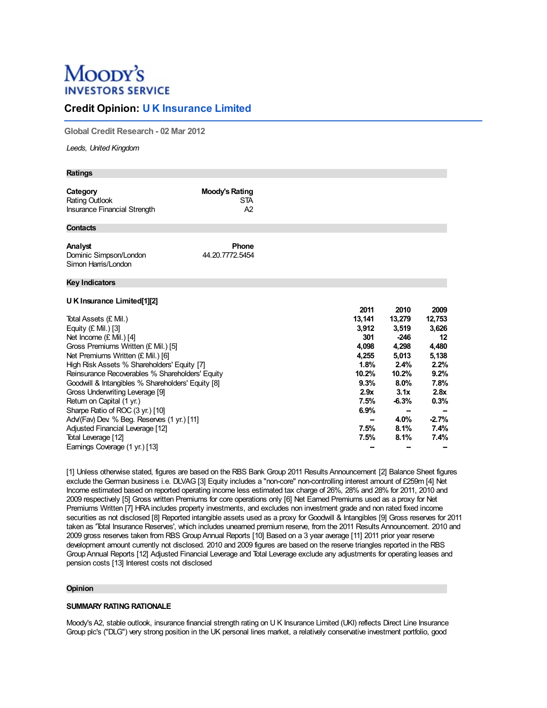# Moopy's **INVESTORS SERVICE**

# **Credit Opinion: U K Insurance Limited**

**Global Credit Research - 02 Mar 2012**

*Leeds, United Kingdom*

| <b>Ratings</b>                                                                                                                                                                                                                                                                                                                                                                                                                                                                                                               |                                           |                                                                                                                 |                                                                                                                                             |                                                                                                            |
|------------------------------------------------------------------------------------------------------------------------------------------------------------------------------------------------------------------------------------------------------------------------------------------------------------------------------------------------------------------------------------------------------------------------------------------------------------------------------------------------------------------------------|-------------------------------------------|-----------------------------------------------------------------------------------------------------------------|---------------------------------------------------------------------------------------------------------------------------------------------|------------------------------------------------------------------------------------------------------------|
| Category<br><b>Rating Outlook</b><br>Insurance Financial Strength                                                                                                                                                                                                                                                                                                                                                                                                                                                            | <b>Moody's Rating</b><br><b>STA</b><br>A2 |                                                                                                                 |                                                                                                                                             |                                                                                                            |
| <b>Contacts</b>                                                                                                                                                                                                                                                                                                                                                                                                                                                                                                              |                                           |                                                                                                                 |                                                                                                                                             |                                                                                                            |
| Analyst<br>Dominic Simpson/London<br>Simon Harris/London                                                                                                                                                                                                                                                                                                                                                                                                                                                                     | Phone<br>44.20.7772.5454                  |                                                                                                                 |                                                                                                                                             |                                                                                                            |
| <b>Key Indicators</b>                                                                                                                                                                                                                                                                                                                                                                                                                                                                                                        |                                           |                                                                                                                 |                                                                                                                                             |                                                                                                            |
| U K Insurance Limited[1][2]                                                                                                                                                                                                                                                                                                                                                                                                                                                                                                  |                                           | 2011                                                                                                            | 2010                                                                                                                                        | 2009                                                                                                       |
| Total Assets (£ Mil.)<br>Equity $(E$ Mil.) [3]<br>Net Income $(E$ Mil.) [4]<br>Gross Premiums Written (£ Mil.) [5]<br>Net Premiums Written (£ Mil.) [6]<br>High Risk Assets % Shareholders' Equity [7]<br>Reinsurance Recoverables % Shareholders' Equity<br>Goodwill & Intangibles % Shareholders' Equity [8]<br>Gross Underwriting Leverage [9]<br>Return on Capital (1 yr.)<br>Sharpe Ratio of ROC (3 yr.) [10]<br>Adv/(Fav) Dev. % Beg. Reserves (1 yr.) [11]<br>Adjusted Financial Leverage [12]<br>Total Leverage [12] |                                           | 13,141<br>3,912<br>301<br>4,098<br>4,255<br>1.8%<br>10.2%<br>9.3%<br>2.9x<br>7.5%<br>6.9%<br>--<br>7.5%<br>7.5% | 13,279<br>3,519<br>$-246$<br>4,298<br>5,013<br>2.4%<br>10.2%<br>8.0%<br>3.1x<br>$-6.3%$<br>$\overline{\phantom{a}}$<br>4.0%<br>8.1%<br>8.1% | 12,753<br>3,626<br>12<br>4,480<br>5,138<br>2.2%<br>9.2%<br>7.8%<br>2.8x<br>0.3%<br>$-2.7%$<br>7.4%<br>7.4% |
| Earnings Coverage (1 yr.) [13]                                                                                                                                                                                                                                                                                                                                                                                                                                                                                               |                                           |                                                                                                                 |                                                                                                                                             |                                                                                                            |

[1] Unless otherwise stated, figures are based on the RBS Bank Group 2011 Results Announcement [2] Balance Sheet figures exclude the German business i.e. DLVAG [3] Equity includes a "non-core" non-controlling interest amount of £259m [4] Net Income estimated based on reported operating income less estimated tax charge of 26%, 28% and 28% for 2011, 2010 and 2009 respectively [5] Gross written Premiums for core operations only [6] Net Earned Premiums used as a proxy for Net Premiums Written [7] HRA includes property investments, and excludes non investment grade and non rated fixed income securities as not disclosed [8] Reported intangible assets used as a proxy for Goodwill & Intangibles [9] Gross reserves for 2011 taken as 'Total Insurance Reserves', which includes unearned premium reserve, from the 2011 Results Announcement. 2010 and 2009 gross reserves taken from RBS GroupAnnual Reports [10] Based on a 3 year average [11] 2011 prior year reserve development amount currently not disclosed. 2010 and 2009 figures are based on the reserve triangles reported in the RBS Group Annual Reports [12] Adjusted Financial Leverage and Total Leverage exclude any adjustments for operating leases and pension costs [13] Interest costs not disclosed

# **Opinion**

# **SUMMARY RATING RATIONALE**

Moody's A2, stable outlook, insurance financial strength rating on U K Insurance Limited (UKI) reflects Direct Line Insurance Group plc's ("DLG") very strong position in the UK personal lines market, a relatively conservative investment portfolio, good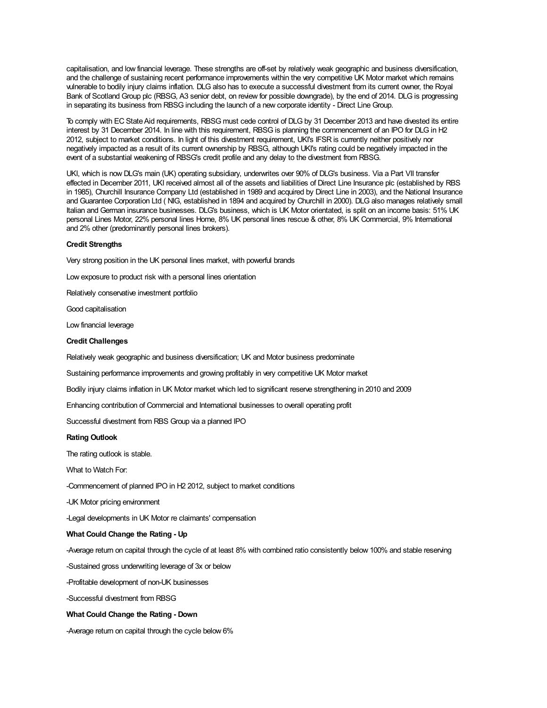capitalisation, and low financial leverage. These strengths are off-set by relatively weak geographic and business diversification, and the challenge of sustaining recent performance improvements within the very competitive UK Motor market which remains vulnerable to bodily injury claims inflation. DLG also has to execute a successful divestment from its current owner, the Royal Bank of Scotland Group plc (RBSG, A3 senior debt, on review for possible downgrade), by the end of 2014. DLG is progressing in separating its business from RBSG including the launch of a new corporate identity - Direct Line Group.

To comply with EC State Aid requirements, RBSG must cede control of DLG by 31 December 2013 and have divested its entire interest by 31 December 2014. In line with this requirement, RBSG is planning the commencement of an IPO for DLG in H2 2012, subject to market conditions. In light of this divestment requirement, UKI's IFSR is currently neither positively nor negatively impacted as a result of its current ownership by RBSG, although UKI's rating could be negatively impacted in the event of a substantial weakening of RBSG's credit profile and any delay to the divestment from RBSG.

UKI, which is now DLG's main (UK) operating subsidiary, underwrites over 90% of DLG's business. Via a Part VII transfer effected in December 2011, UKI received almost all of the assets and liabilities of Direct Line Insurance plc (established by RBS in 1985), Churchill Insurance Company Ltd (established in 1989 and acquired by Direct Line in 2003), and the National Insurance and Guarantee Corporation Ltd ( NIG, established in 1894 and acquired by Churchill in 2000). DLG also manages relatively small Italian and German insurance businesses. DLG's business, which is UK Motor orientated, is split on an income basis: 51% UK personal Lines Motor, 22% personal lines Home, 8% UK personal lines rescue & other, 8% UK Commercial, 9% International and 2% other (predominantly personal lines brokers).

#### **Credit Strengths**

Very strong position in the UK personal lines market, with powerful brands

Low exposure to product risk with a personal lines orientation

Relatively conservative investment portfolio

Good capitalisation

Low financial leverage

#### **Credit Challenges**

Relatively weak geographic and business diversification; UK and Motor business predominate

Sustaining performance improvements and growing profitably in very competitive UK Motor market

Bodily injury claims inflation in UK Motor market which led to significant reserve strengthening in 2010 and 2009

Enhancing contribution of Commercial and International businesses to overall operating profit

Successful divestment from RBS Group via a planned IPO

#### **Rating Outlook**

The rating outlook is stable.

What to Watch For:

-Commencement of planned IPO in H2 2012, subject to market conditions

-UK Motor pricing environment

-Legal developments in UK Motor re claimants' compensation

#### **What Could Change the Rating - Up**

-Average return on capital through the cycle of at least 8% with combined ratio consistently below 100% and stable reserving

-Sustained gross underwriting leverage of 3x or below

-Profitable development of non-UK businesses

-Successful divestment from RBSG

# **What Could Change the Rating - Down**

-Average return on capital through the cycle below 6%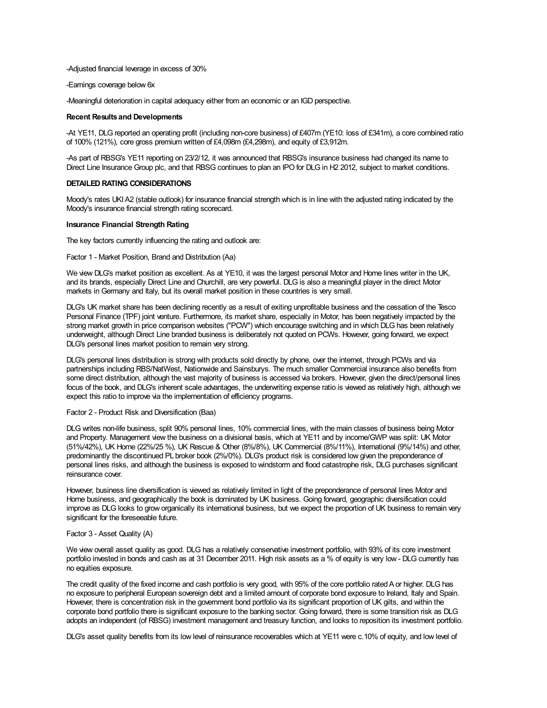-Adjusted financial leverage in excess of 30%

-Earnings coverage below 6x

-Meaningful deterioration in capital adequacy either from an economic or an IGD perspective.

### **Recent Results and Developments**

-At YE11, DLG reported an operating profit (including non-core business) of £407m (YE10: loss of £341m), a core combined ratio of 100% (121%), core gross premium written of £4,098m (£4,298m), and equity of £3,912m.

-As part of RBSG's YE11 reporting on 23/2/12, it was announced that RBSG's insurance business had changed its name to Direct Line Insurance Group plc, and that RBSG continues to plan an IPO for DLG in H2 2012, subject to market conditions.

#### **DETAILED RATING CONSIDERATIONS**

Moody's rates UKIA2 (stable outlook) for insurance financial strength which is in line with the adjusted rating indicated by the Moody's insurance financial strength rating scorecard.

#### **Insurance Financial Strength Rating**

The key factors currently influencing the rating and outlook are:

Factor 1 - Market Position, Brand and Distribution (Aa)

We view DLG's market position as excellent. As at YE10, it was the largest personal Motor and Home lines writer in the UK, and its brands, especially Direct Line and Churchill, are very powerful. DLG is also a meaningful player in the direct Motor markets in Germany and Italy, but its overall market position in these countries is very small.

DLG's UK market share has been declining recently as a result of exiting unprofitable business and the cessation of the Tesco Personal Finance (TPF) joint venture. Furthermore, its market share, especially in Motor, has been negatively impacted by the strong market growth in price comparison websites ("PCW") which encourage switching and in which DLG has been relatively underweight, although Direct Line branded business is deliberately not quoted on PCWs. However, going forward, we expect DLG's personal lines market position to remain very strong.

DLG's personal lines distribution is strong with products sold directly by phone, over the internet, through PCWs and via partnerships including RBS/NatWest, Nationwide and Sainsburys. The much smaller Commercial insurance also benefits from some direct distribution, although the vast majority of business is accessed via brokers. However, given the direct/personal lines focus of the book, and DLG's inherent scale advantages, the underwriting expense ratio is viewed as relatively high, although we expect this ratio to improve via the implementation of efficiency programs.

#### Factor 2 - Product Risk and Diversification (Baa)

DLG writes non-life business, split 90% personal lines, 10% commercial lines, with the main classes of business being Motor and Property. Management view the business on a divisional basis, which at YE11 and by income/GWP was split: UK Motor (51%/42%), UK Home (22%/25 %), UK Rescue & Other (8%/8%), UK Commercial (8%/11%), International (9%/14%) and other, predominantly the discontinued PL broker book (2%/0%). DLG's product risk is considered low given the preponderance of personal lines risks, and although the business is exposed to windstorm and flood catastrophe risk, DLG purchases significant reinsurance cover.

However, business line diversification is viewed as relatively limited in light of the preponderance of personal lines Motor and Home business, and geographically the book is dominated by UK business. Going forward, geographic diversification could improve as DLG looks to grow organically its international business, but we expect the proportion of UK business to remain very significant for the foreseeable future.

#### Factor 3 - Asset Quality (A)

We view overall asset quality as good. DLG has a relatively conservative investment portfolio, with 93% of its core investment portfolio invested in bonds and cash as at 31 December 2011. High risk assets as a % of equity is very low - DLG currently has no equities exposure.

The credit quality of the fixed income and cash portfolio is very good, with 95% of the core portfolio ratedA or higher. DLG has no exposure to peripheral European sovereign debt and a limited amount of corporate bond exposure to Ireland, Italy and Spain. However, there is concentration risk in the government bond portfolio via its significant proportion of UK gilts, and within the corporate bond portfolio there is significant exposure to the banking sector. Going forward, there is some transition risk as DLG adopts an independent (of RBSG) investment management and treasury function, and looks to reposition its investment portfolio.

DLG's asset quality benefits from its low level of reinsurance recoverables which at YE11 were c.10% of equity, and low level of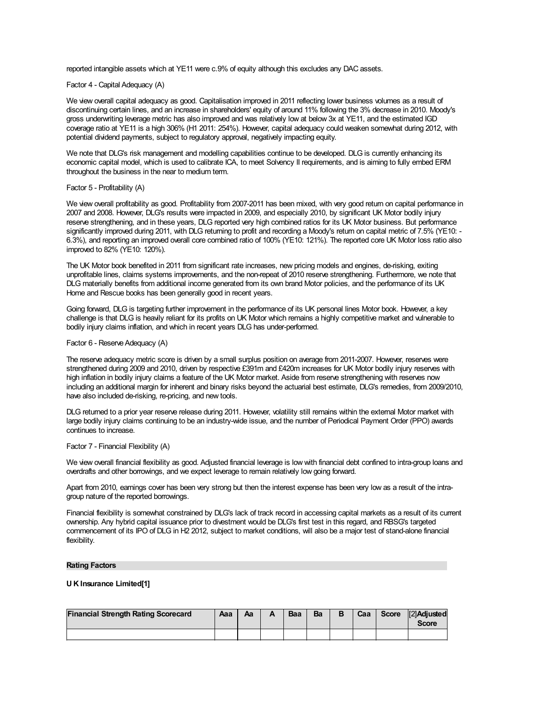reported intangible assets which at YE11 were c.9% of equity although this excludes any DAC assets.

# Factor 4 - Capital Adequacy (A)

We view overall capital adequacy as good. Capitalisation improved in 2011 reflecting lower business volumes as a result of discontinuing certain lines, and an increase in shareholders' equity of around 11% following the 3% decrease in 2010. Moody's gross underwriting leverage metric has also improved and was relatively low at below 3x at YE11, and the estimated IGD coverage ratio at YE11 is a high 306% (H1 2011: 254%). However, capital adequacy could weaken somewhat during 2012, with potential dividend payments, subject to regulatory approval, negatively impacting equity.

We note that DLG's risk management and modelling capabilities continue to be developed. DLG is currently enhancing its economic capital model, which is used to calibrate ICA, to meet Solvency II requirements, and is aiming to fully embed ERM throughout the business in the near to medium term.

# Factor 5 - Profitability (A)

We view overall profitability as good. Profitability from 2007-2011 has been mixed, with very good return on capital performance in 2007 and 2008. However, DLG's results were impacted in 2009, and especially 2010, by significant UK Motor bodily injury reserve strengthening, and in these years, DLG reported very high combined ratios for its UK Motor business. But performance significantly improved during 2011, with DLG returning to profit and recording a Moody's return on capital metric of 7.5% (YE10: - 6.3%), and reporting an improved overall core combined ratio of 100% (YE10: 121%). The reported core UK Motor loss ratio also improved to 82% (YE10: 120%).

The UK Motor book benefited in 2011 from significant rate increases, new pricing models and engines, de-risking, exiting unprofitable lines, claims systems improvements, and the non-repeat of 2010 reserve strengthening. Furthermore, we note that DLG materially benefits from additional income generated from its own brand Motor policies, and the performance of its UK Home and Rescue books has been generally good in recent years.

Going forward, DLG is targeting further improvement in the performance of its UK personal lines Motor book. However, a key challenge is that DLG is heavily reliant for its profits on UK Motor which remains a highly competitive market and vulnerable to bodily injury claims inflation, and which in recent years DLG has under-performed.

#### Factor 6 - Reserve Adequacy (A)

The reserve adequacy metric score is driven by a small surplus position on average from 2011-2007. However, reserves were strengthened during 2009 and 2010, driven by respective £391m and £420m increases for UK Motor bodily injury reserves with high inflation in bodily injury claims a feature of the UK Motor market. Aside from reserve strengthening with reserves now including an additional margin for inherent and binary risks beyond the actuarial best estimate, DLG's remedies, from 2009/2010, have also included de-risking, re-pricing, and new tools.

DLG returned to a prior year reserve release during 2011. However, volatility still remains within the external Motor market with large bodily injury claims continuing to be an industry-wide issue, and the number of Periodical Payment Order (PPO) awards continues to increase.

#### Factor 7 - Financial Flexibility (A)

We view overall financial flexibility as good. Adjusted financial leverage is low with financial debt confined to intra-group loans and overdrafts and other borrowings, and we expect leverage to remain relatively low going forward.

Apart from 2010, earnings cover has been very strong but then the interest expense has been very low as a result of the intragroup nature of the reported borrowings.

Financial flexibility is somewhat constrained by DLG's lack of track record in accessing capital markets as a result of its current ownership. Any hybrid capital issuance prior to divestment would be DLG's first test in this regard, and RBSG's targeted commencement of its IPO of DLG in H2 2012, subject to market conditions, will also be a major test of stand-alone financial flexibility.

#### **Rating Factors**

#### **U K Insurance Limited[1]**

| <b>Financial Strength Rating Scorecard</b> | Ааа | Aa | Baa | Ba | B | Caa | Score | [2]Adjusted<br>Score |
|--------------------------------------------|-----|----|-----|----|---|-----|-------|----------------------|
|                                            |     |    |     |    |   |     |       |                      |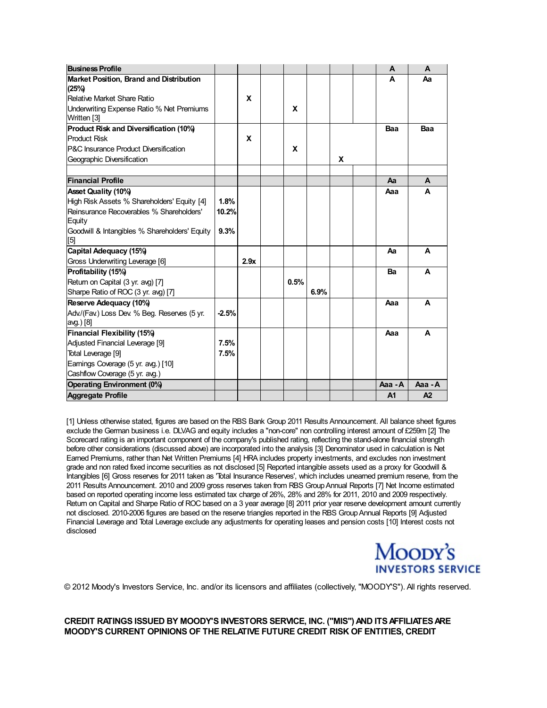| <b>Business Profile</b>                          |         |      |      |      |   | A              | A       |
|--------------------------------------------------|---------|------|------|------|---|----------------|---------|
| Market Position, Brand and Distribution          |         |      |      |      |   | A              | Aa      |
| (25%)                                            |         |      |      |      |   |                |         |
| Relative Market Share Ratio                      |         | X    |      |      |   |                |         |
| Underwriting Expense Ratio % Net Premiums        |         |      | X    |      |   |                |         |
| Written [3]                                      |         |      |      |      |   |                |         |
| Product Risk and Diversification (10%)           |         |      |      |      |   | Baa            | Baa     |
| <b>Product Risk</b>                              |         | X    |      |      |   |                |         |
| <b>P&amp;C Insurance Product Diversification</b> |         |      | X    |      |   |                |         |
| Geographic Diversification                       |         |      |      |      | X |                |         |
|                                                  |         |      |      |      |   |                |         |
| <b>Financial Profile</b>                         |         |      |      |      |   | Aa             | A       |
| <b>Asset Quality (10%)</b>                       |         |      |      |      |   | Aaa            | A       |
| High Risk Assets % Shareholders' Equity [4]      | 1.8%    |      |      |      |   |                |         |
| Reinsurance Recoverables % Shareholders'         | 10.2%   |      |      |      |   |                |         |
| Equity                                           |         |      |      |      |   |                |         |
| Goodwill & Intangibles % Shareholders' Equity    | 9.3%    |      |      |      |   |                |         |
| [5]                                              |         |      |      |      |   |                |         |
| Capital Adequacy (15%)                           |         |      |      |      |   | Aа             | A       |
| Gross Underwriting Leverage [6]                  |         | 2.9x |      |      |   |                |         |
| Profitability (15%)                              |         |      |      |      |   | Ba             | A       |
| Return on Capital (3 yr. avg) [7]                |         |      | 0.5% |      |   |                |         |
| Sharpe Ratio of ROC (3 yr. avg) [7]              |         |      |      | 6.9% |   |                |         |
| Reserve Adequacy (10%)                           |         |      |      |      |   | Aaa            | A       |
| Adv./(Fav.) Loss Dev. % Beg. Reserves (5 yr.     | $-2.5%$ |      |      |      |   |                |         |
| avg.) [8]                                        |         |      |      |      |   |                |         |
| Financial Flexibility (15%)                      |         |      |      |      |   | Aaa            | A       |
| Adjusted Financial Leverage [9]                  | 7.5%    |      |      |      |   |                |         |
| Total Leverage [9]                               | 7.5%    |      |      |      |   |                |         |
| Earnings Coverage (5 yr. avg.) [10]              |         |      |      |      |   |                |         |
| Cashflow Coverage (5 yr. avg.)                   |         |      |      |      |   |                |         |
| <b>Operating Environment (0%)</b>                |         |      |      |      |   | Aaa - A        | Aaa - A |
| <b>Aggregate Profile</b>                         |         |      |      |      |   | A <sub>1</sub> | A2      |

[1] Unless otherwise stated, figures are based on the RBS Bank Group 2011 Results Announcement. All balance sheet figures exclude the German business i.e. DLVAG and equity includes a "non-core" non controlling interest amount of £259m [2] The Scorecard rating is an important component of the company's published rating, reflecting the stand-alone financial strength before other considerations (discussed above) are incorporated into the analysis [3] Denominator used in calculation is Net Earned Premiums, rather than Net Written Premiums [4] HRA includes property investments, and excludes non investment grade and non rated fixed income securities as not disclosed [5] Reported intangible assets used as a proxy for Goodwill & Intangibles [6] Gross reserves for 2011 taken as 'Total Insurance Reserves', which includes unearned premium reserve, from the 2011 Results Announcement. 2010 and 2009 gross reserves taken from RBS GroupAnnual Reports [7] Net Income estimated based on reported operating income less estimated tax charge of 26%, 28% and 28% for 2011, 2010 and 2009 respectively. Return on Capital and Sharpe Ratio of ROC based on a 3 year average [8] 2011 prior year reserve development amount currently not disclosed. 2010-2006 figures are based on the reserve triangles reported in the RBS GroupAnnual Reports [9] Adjusted Financial Leverage and Total Leverage exclude any adjustments for operating leases and pension costs [10] Interest costs not disclosed



© 2012 Moody's Investors Service, Inc. and/or its licensors and affiliates (collectively, "MOODY'S"). All rights reserved.

**CREDIT RATINGS ISSUED BY MOODY'S INVESTORS SERVICE, INC. ("MIS")AND ITSAFFILIATESARE MOODY'S CURRENT OPINIONS OF THE RELATIVE FUTURE CREDIT RISK OF ENTITIES, CREDIT**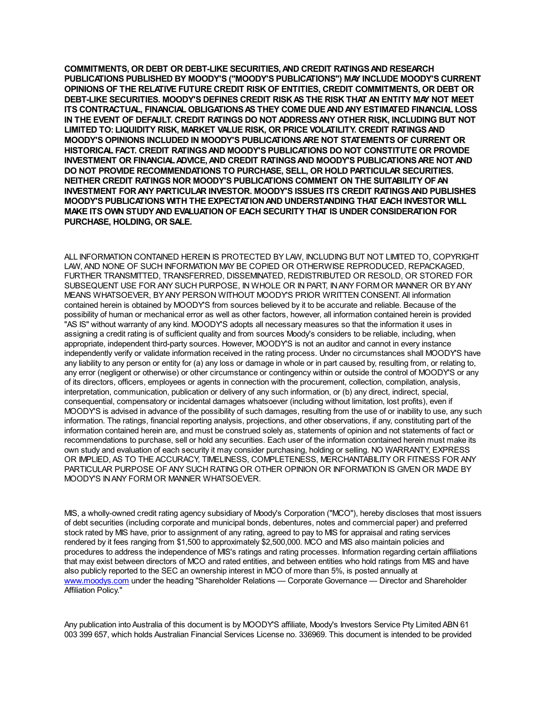**COMMITMENTS, OR DEBT OR DEBT-LIKE SECURITIES,AND CREDIT RATINGSAND RESEARCH PUBLICATIONS PUBLISHED BY MOODY'S ("MOODY'S PUBLICATIONS") MAY INCLUDE MOODY'S CURRENT OPINIONS OF THE RELATIVE FUTURE CREDIT RISK OF ENTITIES, CREDIT COMMITMENTS, OR DEBT OR DEBT-LIKE SECURITIES. MOODY'S DEFINES CREDIT RISKAS THE RISK THAT AN ENTITY MAY NOT MEET ITS CONTRACTUAL, FINANCIAL OBLIGATIONSAS THEY COME DUEANDANY ESTIMATED FINANCIAL LOSS IN THE EVENT OF DEFAULT. CREDIT RATINGS DO NOT ADDRESSANY OTHER RISK, INCLUDING BUT NOT LIMITED TO: LIQUIDITY RISK, MARKET VALUE RISK, OR PRICE VOLATILITY. CREDIT RATINGSAND MOODY'S OPINIONS INCLUDED IN MOODY'S PUBLICATIONSARE NOT STATEMENTS OF CURRENT OR HISTORICAL FACT. CREDIT RATINGSAND MOODY'S PUBLICATIONS DO NOT CONSTITUTE OR PROVIDE INVESTMENT OR FINANCIALADVICE,AND CREDIT RATINGSAND MOODY'S PUBLICATIONSARE NOT AND DO NOT PROVIDE RECOMMENDATIONS TO PURCHASE, SELL, OR HOLD PARTICULAR SECURITIES. NEITHER CREDIT RATINGS NOR MOODY'S PUBLICATIONS COMMENT ON THE SUITABILITY OFAN INVESTMENT FORANY PARTICULAR INVESTOR. MOODY'S ISSUES ITS CREDIT RATINGSAND PUBLISHES MOODY'S PUBLICATIONS WITH THE EXPECTATIONAND UNDERSTANDING THAT EACH INVESTOR WILL MAKE ITS OWN STUDYAND EVALUATION OF EACH SECURITY THAT IS UNDER CONSIDERATION FOR PURCHASE, HOLDING, OR SALE.**

ALL INFORMATION CONTAINED HEREIN IS PROTECTED BY LAW, INCLUDING BUT NOT LIMITED TO, COPYRIGHT LAW, AND NONE OF SUCH INFORMATION MAY BE COPIED OR OTHERWISE REPRODUCED, REPACKAGED, FURTHER TRANSMITTED, TRANSFERRED, DISSEMINATED, REDISTRIBUTED OR RESOLD, OR STORED FOR SUBSEQUENT USE FOR ANY SUCH PURPOSE, IN WHOLE OR IN PART, INANY FORMOR MANNER OR BYANY MEANS WHATSOEVER, BYANY PERSON WITHOUT MOODY'S PRIOR WRITTEN CONSENT. All information contained herein is obtained by MOODY'S from sources believed by it to be accurate and reliable. Because of the possibility of human or mechanical error as well as other factors, however, all information contained herein is provided "AS IS" without warranty of any kind. MOODY'S adopts all necessary measures so that the information it uses in assigning a credit rating is of sufficient quality and from sources Moody's considers to be reliable, including, when appropriate, independent third-party sources. However, MOODY'S is not an auditor and cannot in every instance independently verify or validate information received in the rating process. Under no circumstances shall MOODY'S have any liability to any person or entity for (a) any loss or damage in whole or in part caused by, resulting from, or relating to, any error (negligent or otherwise) or other circumstance or contingency within or outside the control of MOODY'S or any of its directors, officers, employees or agents in connection with the procurement, collection, compilation, analysis, interpretation, communication, publication or delivery of any such information, or (b) any direct, indirect, special, consequential, compensatory or incidental damages whatsoever (including without limitation, lost profits), even if MOODY'S is advised in advance of the possibility of such damages, resulting from the use of or inability to use, any such information. The ratings, financial reporting analysis, projections, and other observations, if any, constituting part of the information [contained](http://www.moodys.com/) herein are, and must be construed solely as, statements of opinion and not statements of fact or recommendations to purchase, sell or hold any securities. Each user of the information contained herein must make its own study and evaluation of each security it may consider purchasing, holding or selling. NO WARRANTY, EXPRESS OR IMPLIED, AS TO THE ACCURACY, TIMELINESS, COMPLETENESS, MERCHANTABILITYOR FITNESS FOR ANY PARTICULAR PURPOSE OF ANY SUCH RATING OR OTHER OPINION OR INFORMATION IS GIVEN OR MADE BY MOODY'S INANY FORMOR MANNER WHATSOEVER.

MIS, a wholly-owned credit rating agency subsidiary of Moody's Corporation ("MCO"), hereby discloses that most issuers of debt securities (including corporate and municipal bonds, debentures, notes and commercial paper) and preferred stock rated by MIS have, prior to assignment of any rating, agreed to pay to MIS for appraisal and rating services rendered by it fees ranging from \$1,500 to approximately \$2,500,000. MCO and MIS also maintain policies and procedures to address the independence of MIS's ratings and rating processes. Information regarding certain affiliations that may exist between directors of MCO and rated entities, and between entities who hold ratings from MIS and have also publicly reported to the SEC an ownership interest in MCO of more than 5%, is posted annually at www.moodys.com under the heading "Shareholder Relations — Corporate Governance — Director and Shareholder Affiliation Policy."

Any publication into Australia of this document is by MOODY'S affiliate, Moody's Investors Service Pty Limited ABN 61 003 399 657, which holds Australian Financial Services License no. 336969. This document is intended to be provided